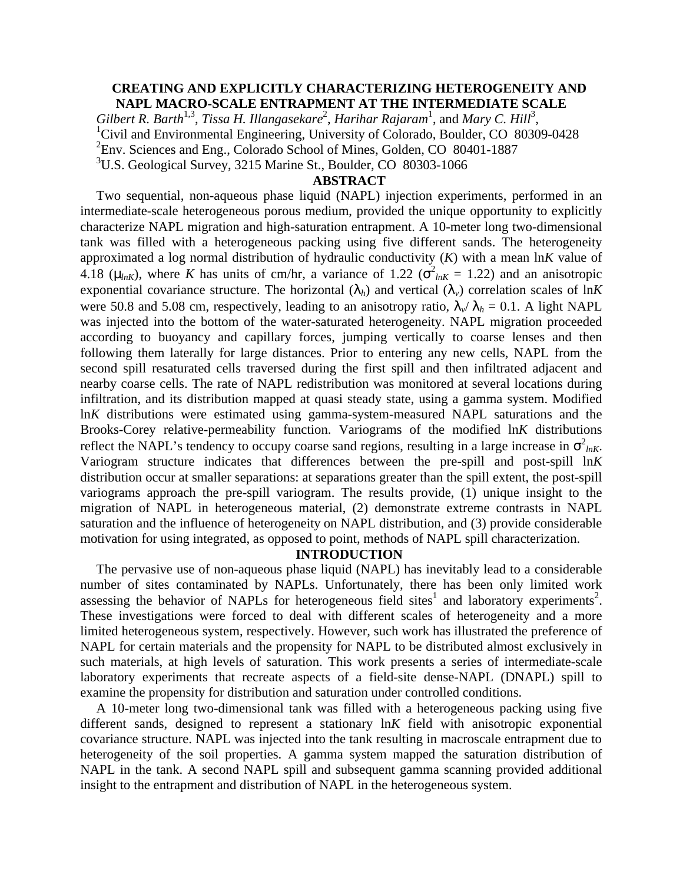# **CREATING AND EXPLICITLY CHARACTERIZING HETEROGENEITY AND NAPL MACRO-SCALE ENTRAPMENT AT THE INTERMEDIATE SCALE**

Gilbert R. Barth<sup>1,3</sup>, Tissa H. Illangasekare<sup>2</sup>, Harihar Rajaram<sup>1</sup>, and Mary C. Hill<sup>3</sup>, <sup>1</sup>Civil and Environmental Engineering, University of Colorado, Boulder, CO 80309-0428 <sup>2</sup>Env. Sciences and Eng., Colorado School of Mines, Golden, CO 80401-1887 <sup>3</sup>U.S. Geological Survey, 3215 Marine St., Boulder, CO 80303-1066

#### **ABSTRACT**

Two sequential, non-aqueous phase liquid (NAPL) injection experiments, performed in an intermediate-scale heterogeneous porous medium, provided the unique opportunity to explicitly characterize NAPL migration and high-saturation entrapment. A 10-meter long two-dimensional tank was filled with a heterogeneous packing using five different sands. The heterogeneity approximated a log normal distribution of hydraulic conductivity (*K*) with a mean ln*K* value of 4.18 ( $m_{nK}$ ), where *K* has units of cm/hr, a variance of 1.22 ( $\sigma^2_{nK} = 1.22$ ) and an anisotropic exponential covariance structure. The horizontal  $(I_h)$  and vertical  $(I_v)$  correlation scales of ln*K* were 50.8 and 5.08 cm, respectively, leading to an anisotropy ratio,  $I_v/I_h = 0.1$ . A light NAPL was injected into the bottom of the water-saturated heterogeneity. NAPL migration proceeded according to buoyancy and capillary forces, jumping vertically to coarse lenses and then following them laterally for large distances. Prior to entering any new cells, NAPL from the second spill resaturated cells traversed during the first spill and then infiltrated adjacent and nearby coarse cells. The rate of NAPL redistribution was monitored at several locations during infiltration, and its distribution mapped at quasi steady state, using a gamma system. Modified ln*K* distributions were estimated using gamma-system-measured NAPL saturations and the Brooks-Corey relative-permeability function. Variograms of the modified ln*K* distributions reflect the NAPL's tendency to occupy coarse sand regions, resulting in a large increase in  $\sigma^2_{lnK}$ . Variogram structure indicates that differences between the pre-spill and post-spill ln*K* distribution occur at smaller separations: at separations greater than the spill extent, the post-spill variograms approach the pre-spill variogram. The results provide, (1) unique insight to the migration of NAPL in heterogeneous material, (2) demonstrate extreme contrasts in NAPL saturation and the influence of heterogeneity on NAPL distribution, and (3) provide considerable motivation for using integrated, as opposed to point, methods of NAPL spill characterization.

## **INTRODUCTION**

The pervasive use of non-aqueous phase liquid (NAPL) has inevitably lead to a considerable number of sites contaminated by NAPLs. Unfortunately, there has been only limited work assessing the behavior of NAPLs for heterogeneous field sites<sup>1</sup> and laboratory experiments<sup>2</sup>. These investigations were forced to deal with different scales of heterogeneity and a more limited heterogeneous system, respectively. However, such work has illustrated the preference of NAPL for certain materials and the propensity for NAPL to be distributed almost exclusively in such materials, at high levels of saturation. This work presents a series of intermediate-scale laboratory experiments that recreate aspects of a field-site dense-NAPL (DNAPL) spill to examine the propensity for distribution and saturation under controlled conditions.

A 10-meter long two-dimensional tank was filled with a heterogeneous packing using five different sands, designed to represent a stationary ln*K* field with anisotropic exponential covariance structure. NAPL was injected into the tank resulting in macroscale entrapment due to heterogeneity of the soil properties. A gamma system mapped the saturation distribution of NAPL in the tank. A second NAPL spill and subsequent gamma scanning provided additional insight to the entrapment and distribution of NAPL in the heterogeneous system.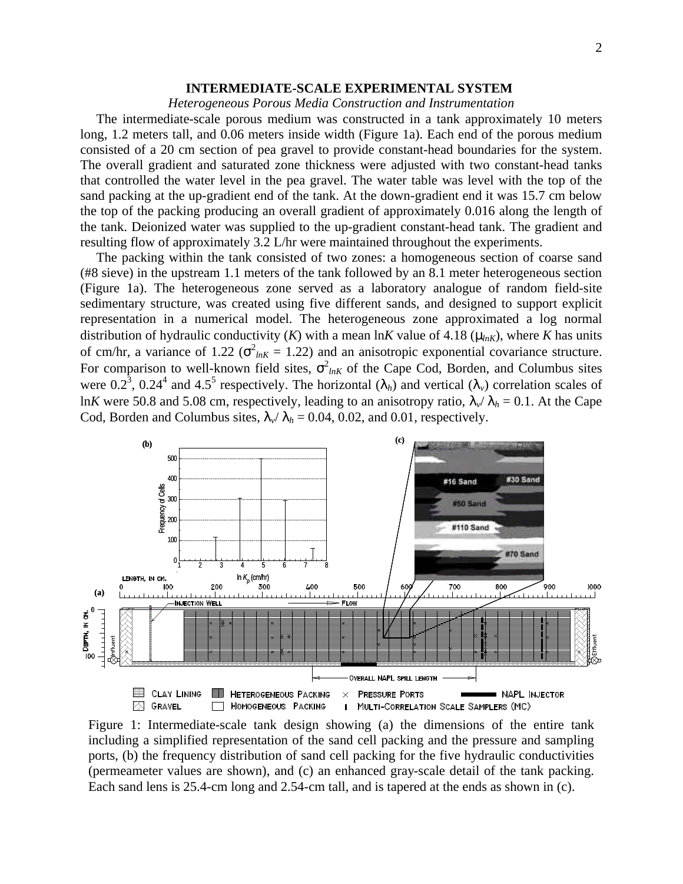### **INTERMEDIATE-SCALE EXPERIMENTAL SYSTEM**

### *Heterogeneous Porous Media Construction and Instrumentation*

The intermediate-scale porous medium was constructed in a tank approximately 10 meters long, 1.2 meters tall, and 0.06 meters inside width (Figure 1a). Each end of the porous medium consisted of a 20 cm section of pea gravel to provide constant-head boundaries for the system. The overall gradient and saturated zone thickness were adjusted with two constant-head tanks that controlled the water level in the pea gravel. The water table was level with the top of the sand packing at the up-gradient end of the tank. At the down-gradient end it was 15.7 cm below the top of the packing producing an overall gradient of approximately 0.016 along the length of the tank. Deionized water was supplied to the up-gradient constant-head tank. The gradient and resulting flow of approximately 3.2 L/hr were maintained throughout the experiments.

The packing within the tank consisted of two zones: a homogeneous section of coarse sand (#8 sieve) in the upstream 1.1 meters of the tank followed by an 8.1 meter heterogeneous section (Figure 1a). The heterogeneous zone served as a laboratory analogue of random field-site sedimentary structure, was created using five different sands, and designed to support explicit representation in a numerical model. The heterogeneous zone approximated a log normal distribution of hydraulic conductivity (*K*) with a mean ln*K* value of 4.18 ( $m_{nK}$ ), where *K* has units of cm/hr, a variance of 1.22 ( $\sigma_{lnK}^2 = 1.22$ ) and an anisotropic exponential covariance structure. For comparison to well-known field sites,  $\sigma_{lnK}^2$  of the Cape Cod, Borden, and Columbus sites were 0.2<sup>3</sup>, 0.24<sup>4</sup> and 4.5<sup>5</sup> respectively. The horizontal  $(I_h)$  and vertical  $(I_v)$  correlation scales of ln*K* were 50.8 and 5.08 cm, respectively, leading to an anisotropy ratio,  $I_v/I_h = 0.1$ . At the Cape Cod, Borden and Columbus sites,  $I_v/I_h = 0.04, 0.02$ , and 0.01, respectively.



Figure 1: Intermediate-scale tank design showing (a) the dimensions of the entire tank including a simplified representation of the sand cell packing and the pressure and sampling ports, (b) the frequency distribution of sand cell packing for the five hydraulic conductivities (permeameter values are shown), and (c) an enhanced gray-scale detail of the tank packing. Each sand lens is 25.4-cm long and 2.54-cm tall, and is tapered at the ends as shown in (c).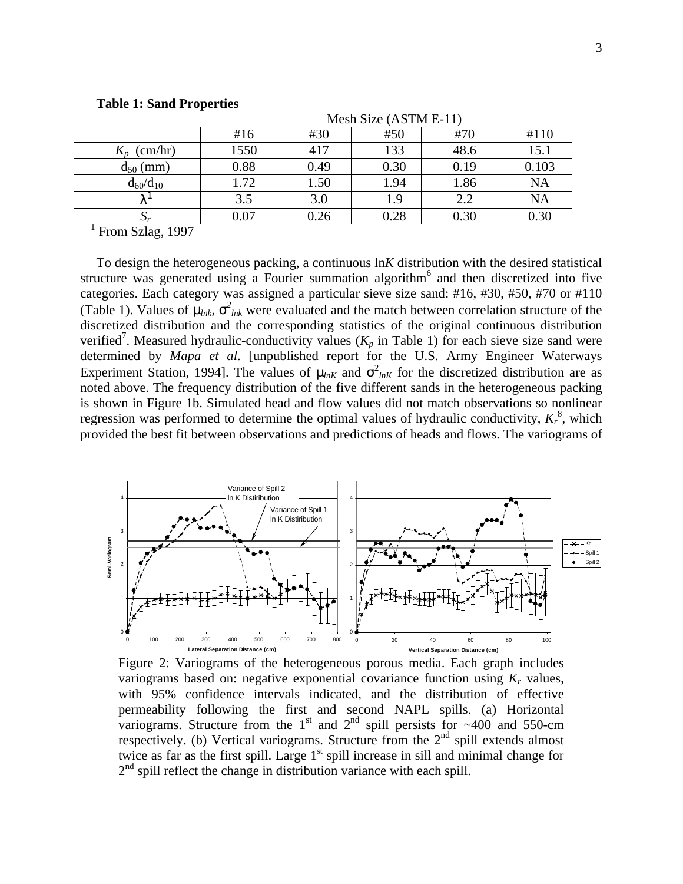|                                    | Mesh Size (ASTM E-11) |      |      |      |           |
|------------------------------------|-----------------------|------|------|------|-----------|
|                                    | #16                   | #30  | #50  | #70  | #110      |
| $K_p$ (cm/hr)                      | 1550                  | 417  | 133  | 48.6 | 15.1      |
| $d_{50}$ (mm)                      | 0.88                  | 0.49 | 0.30 | 0.19 | 0.103     |
| $d_{60}/d_{10}$                    | 1.72                  | 1.50 | 1.94 | 1.86 | NA        |
|                                    | 3.5                   | 3.0  | 1.9  | 2.2  | <b>NA</b> |
|                                    | 0.07                  | 0.26 | 0.28 | 0.30 | 0.30      |
| $E_{\rm rem}$ $R_{\rm v}$ leg 1007 |                       |      |      |      |           |

#### **Table 1: Sand Properties**

From Szlag, 1997

To design the heterogeneous packing, a continuous ln*K* distribution with the desired statistical structure was generated using a Fourier summation algorithm<sup>6</sup> and then discretized into five categories. Each category was assigned a particular sieve size sand: #16, #30, #50, #70 or #110 (Table 1). Values of  $m_{nk}$ ,  $s^2_{lnk}$  were evaluated and the match between correlation structure of the discretized distribution and the corresponding statistics of the original continuous distribution verified<sup>7</sup>. Measured hydraulic-conductivity values ( $K_p$  in Table 1) for each sieve size sand were determined by *Mapa et al*. [unpublished report for the U.S. Army Engineer Waterways Experiment Station, 1994]. The values of  $m_{nK}$  and  $\sigma^2_{lnK}$  for the discretized distribution are as noted above. The frequency distribution of the five different sands in the heterogeneous packing is shown in Figure 1b. Simulated head and flow values did not match observations so nonlinear regression was performed to determine the optimal values of hydraulic conductivity,  $K_r^8$ , which provided the best fit between observations and predictions of heads and flows. The variograms of



Figure 2: Variograms of the heterogeneous porous media. Each graph includes variograms based on: negative exponential covariance function using  $K_r$  values, with 95% confidence intervals indicated, and the distribution of effective permeability following the first and second NAPL spills. (a) Horizontal variograms. Structure from the  $1<sup>st</sup>$  and  $2<sup>nd</sup>$  spill persists for ~400 and 550-cm respectively. (b) Vertical variograms. Structure from the  $2<sup>nd</sup>$  spill extends almost twice as far as the first spill. Large  $1<sup>st</sup>$  spill increase in sill and minimal change for 2<sup>nd</sup> spill reflect the change in distribution variance with each spill.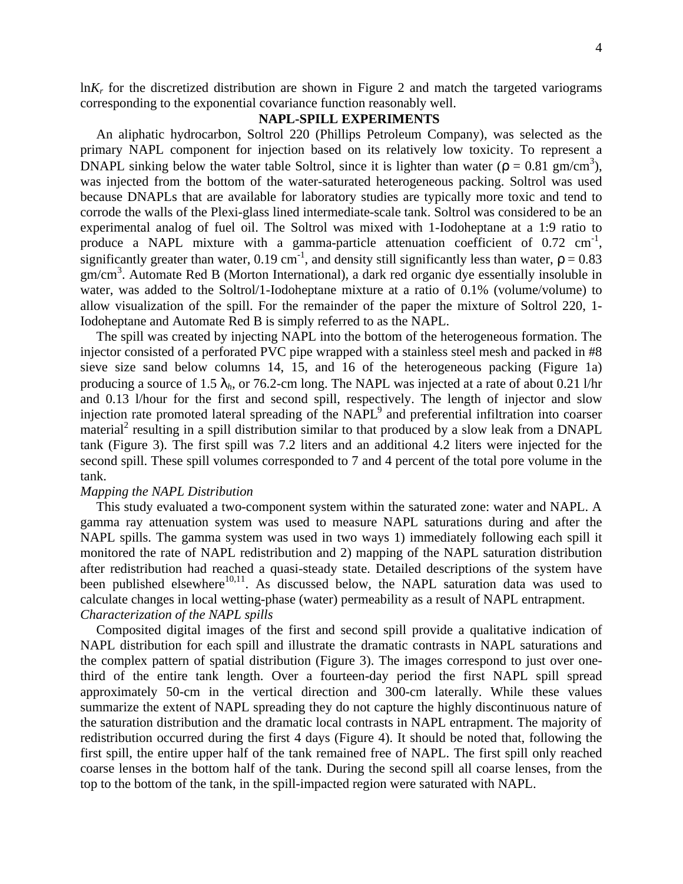$\ln K_r$  for the discretized distribution are shown in Figure 2 and match the targeted variograms corresponding to the exponential covariance function reasonably well.

# **NAPL-SPILL EXPERIMENTS**

An aliphatic hydrocarbon, Soltrol 220 (Phillips Petroleum Company), was selected as the primary NAPL component for injection based on its relatively low toxicity. To represent a DNAPL sinking below the water table Soltrol, since it is lighter than water  $(r = 0.81 \text{ gm/cm}^3)$ , was injected from the bottom of the water-saturated heterogeneous packing. Soltrol was used because DNAPLs that are available for laboratory studies are typically more toxic and tend to corrode the walls of the Plexi-glass lined intermediate-scale tank. Soltrol was considered to be an experimental analog of fuel oil. The Soltrol was mixed with 1-Iodoheptane at a 1:9 ratio to produce a NAPL mixture with a gamma-particle attenuation coefficient of  $0.72 \text{ cm}^{-1}$ , significantly greater than water,  $0.19 \text{ cm}^{-1}$ , and density still significantly less than water,  $r = 0.83$ gm/cm<sup>3</sup>. Automate Red B (Morton International), a dark red organic dye essentially insoluble in water, was added to the Soltrol/1-Iodoheptane mixture at a ratio of 0.1% (volume/volume) to allow visualization of the spill. For the remainder of the paper the mixture of Soltrol 220, 1- Iodoheptane and Automate Red B is simply referred to as the NAPL.

The spill was created by injecting NAPL into the bottom of the heterogeneous formation. The injector consisted of a perforated PVC pipe wrapped with a stainless steel mesh and packed in #8 sieve size sand below columns 14, 15, and 16 of the heterogeneous packing (Figure 1a) producing a source of 1.5 *lh*, or 76.2-cm long. The NAPL was injected at a rate of about 0.21 l/hr and 0.13 l/hour for the first and second spill, respectively. The length of injector and slow injection rate promoted lateral spreading of the  $NAPL<sup>9</sup>$  and preferential infiltration into coarser material<sup>2</sup> resulting in a spill distribution similar to that produced by a slow leak from a DNAPL tank (Figure 3). The first spill was 7.2 liters and an additional 4.2 liters were injected for the second spill. These spill volumes corresponded to 7 and 4 percent of the total pore volume in the tank.

# *Mapping the NAPL Distribution*

This study evaluated a two-component system within the saturated zone: water and NAPL. A gamma ray attenuation system was used to measure NAPL saturations during and after the NAPL spills. The gamma system was used in two ways 1) immediately following each spill it monitored the rate of NAPL redistribution and 2) mapping of the NAPL saturation distribution after redistribution had reached a quasi-steady state. Detailed descriptions of the system have been published elsewhere<sup>10,11</sup>. As discussed below, the NAPL saturation data was used to calculate changes in local wetting-phase (water) permeability as a result of NAPL entrapment. *Characterization of the NAPL spills*

Composited digital images of the first and second spill provide a qualitative indication of NAPL distribution for each spill and illustrate the dramatic contrasts in NAPL saturations and the complex pattern of spatial distribution (Figure 3). The images correspond to just over onethird of the entire tank length. Over a fourteen-day period the first NAPL spill spread approximately 50-cm in the vertical direction and 300-cm laterally. While these values summarize the extent of NAPL spreading they do not capture the highly discontinuous nature of the saturation distribution and the dramatic local contrasts in NAPL entrapment. The majority of redistribution occurred during the first 4 days (Figure 4). It should be noted that, following the first spill, the entire upper half of the tank remained free of NAPL. The first spill only reached coarse lenses in the bottom half of the tank. During the second spill all coarse lenses, from the top to the bottom of the tank, in the spill-impacted region were saturated with NAPL.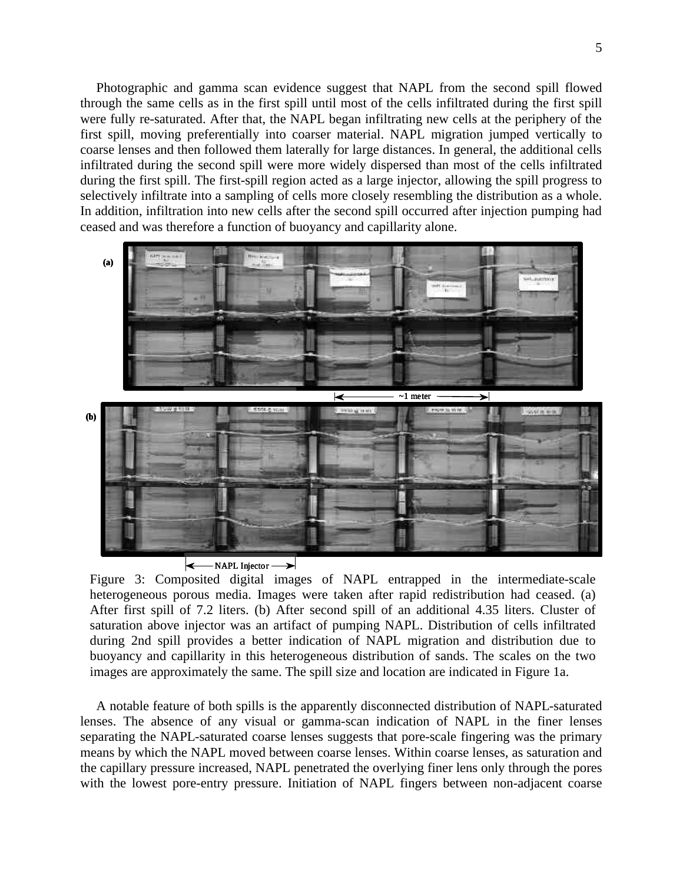Photographic and gamma scan evidence suggest that NAPL from the second spill flowed through the same cells as in the first spill until most of the cells infiltrated during the first spill were fully re-saturated. After that, the NAPL began infiltrating new cells at the periphery of the first spill, moving preferentially into coarser material. NAPL migration jumped vertically to coarse lenses and then followed them laterally for large distances. In general, the additional cells infiltrated during the second spill were more widely dispersed than most of the cells infiltrated during the first spill. The first-spill region acted as a large injector, allowing the spill progress to selectively infiltrate into a sampling of cells more closely resembling the distribution as a whole. In addition, infiltration into new cells after the second spill occurred after injection pumping had ceased and was therefore a function of buoyancy and capillarity alone.



Figure 3: Composited digital images of NAPL entrapped in the intermediate-scale heterogeneous porous media. Images were taken after rapid redistribution had ceased. (a) After first spill of 7.2 liters. (b) After second spill of an additional 4.35 liters. Cluster of saturation above injector was an artifact of pumping NAPL. Distribution of cells infiltrated during 2nd spill provides a better indication of NAPL migration and distribution due to buoyancy and capillarity in this heterogeneous distribution of sands. The scales on the two images are approximately the same. The spill size and location are indicated in Figure 1a.

A notable feature of both spills is the apparently disconnected distribution of NAPL-saturated lenses. The absence of any visual or gamma-scan indication of NAPL in the finer lenses separating the NAPL-saturated coarse lenses suggests that pore-scale fingering was the primary means by which the NAPL moved between coarse lenses. Within coarse lenses, as saturation and the capillary pressure increased, NAPL penetrated the overlying finer lens only through the pores with the lowest pore-entry pressure. Initiation of NAPL fingers between non-adjacent coarse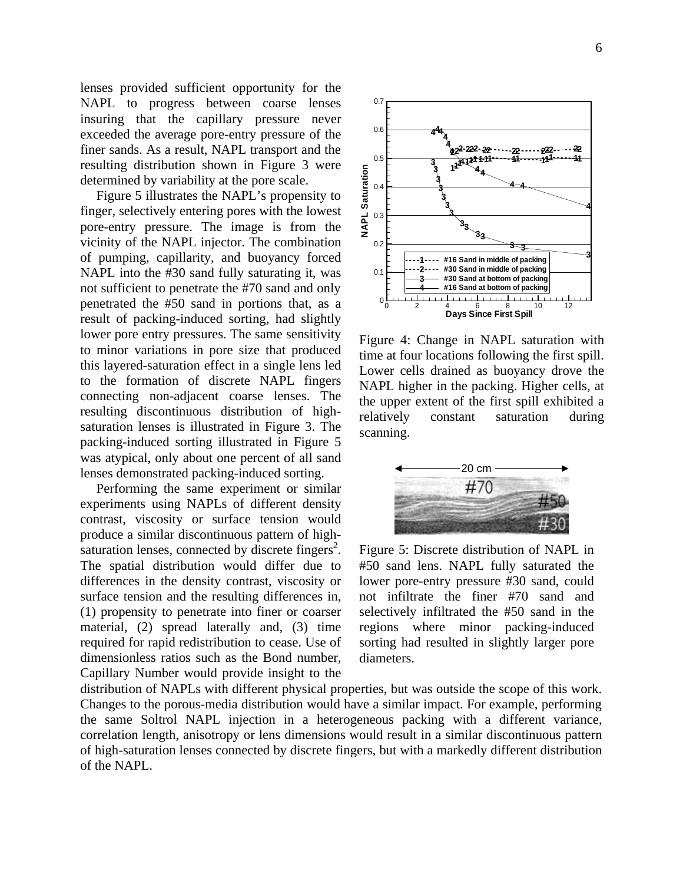lenses provided sufficient opportunity for the NAPL to progress between coarse lenses insuring that the capillary pressure never exceeded the average pore-entry pressure of the finer sands. As a result, NAPL transport and the resulting distribution shown in Figure 3 were determined by variability at the pore scale.

Figure 5 illustrates the NAPL's propensity to finger, selectively entering pores with the lowest pore-entry pressure. The image is from the vicinity of the NAPL injector. The combination of pumping, capillarity, and buoyancy forced NAPL into the #30 sand fully saturating it, was not sufficient to penetrate the #70 sand and only penetrated the #50 sand in portions that, as a result of packing-induced sorting, had slightly lower pore entry pressures. The same sensitivity to minor variations in pore size that produced this layered-saturation effect in a single lens led to the formation of discrete NAPL fingers connecting non-adjacent coarse lenses. The resulting discontinuous distribution of highsaturation lenses is illustrated in Figure 3. The packing-induced sorting illustrated in Figure 5 was atypical, only about one percent of all sand lenses demonstrated packing-induced sorting.

Performing the same experiment or similar experiments using NAPLs of different density contrast, viscosity or surface tension would produce a similar discontinuous pattern of highsaturation lenses, connected by discrete fingers<sup>2</sup>. The spatial distribution would differ due to differences in the density contrast, viscosity or surface tension and the resulting differences in, (1) propensity to penetrate into finer or coarser material, (2) spread laterally and, (3) time required for rapid redistribution to cease. Use of dimensionless ratios such as the Bond number, Capillary Number would provide insight to the



Figure 4: Change in NAPL saturation with time at four locations following the first spill. Lower cells drained as buoyancy drove the NAPL higher in the packing. Higher cells, at the upper extent of the first spill exhibited a relatively constant saturation during scanning.



Figure 5: Discrete distribution of NAPL in #50 sand lens. NAPL fully saturated the lower pore-entry pressure #30 sand, could not infiltrate the finer #70 sand and selectively infiltrated the #50 sand in the regions where minor packing-induced sorting had resulted in slightly larger pore diameters.

distribution of NAPLs with different physical properties, but was outside the scope of this work. Changes to the porous-media distribution would have a similar impact. For example, performing the same Soltrol NAPL injection in a heterogeneous packing with a different variance, correlation length, anisotropy or lens dimensions would result in a similar discontinuous pattern of high-saturation lenses connected by discrete fingers, but with a markedly different distribution of the NAPL.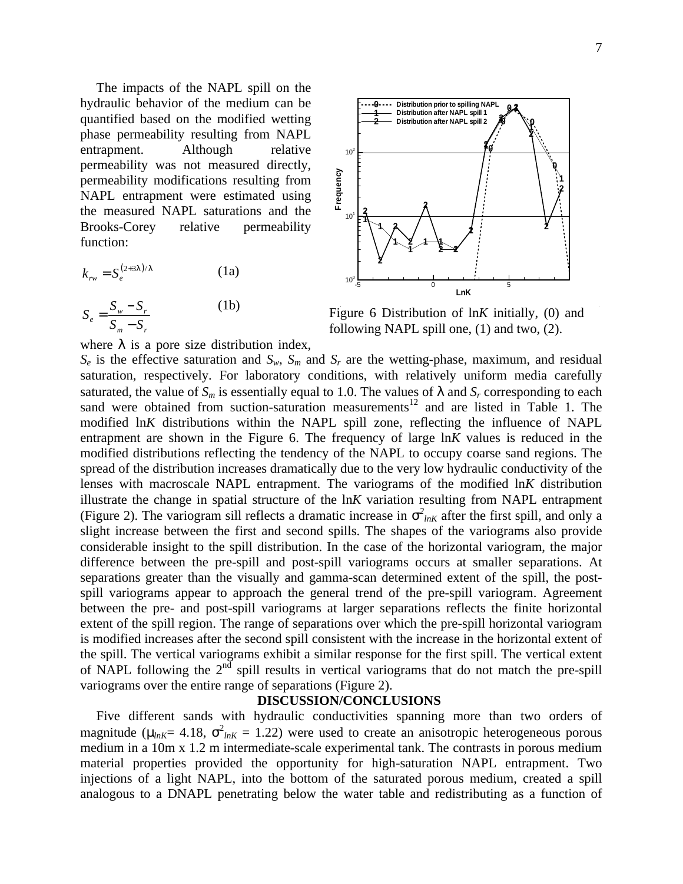The impacts of the NAPL spill on the hydraulic behavior of the medium can be quantified based on the modified wetting phase permeability resulting from NAPL entrapment. Although relative permeability was not measured directly, permeability modifications resulting from NAPL entrapment were estimated using the measured NAPL saturations and the Brooks-Corey relative permeability function:

$$
k_{rw} = S_e^{(2+31)/1}
$$
 (1a)  

$$
S_e = \frac{S_w - S_r}{S_m - S_r}
$$
 (1b)



Figure 6 Distribution of ln*K* initially, (0) and following NAPL spill one, (1) and two, (2).

where *l* is a pore size distribution index,

 $S_e$  is the effective saturation and  $S_w$ ,  $S_m$  and  $S_r$  are the wetting-phase, maximum, and residual saturation, respectively. For laboratory conditions, with relatively uniform media carefully saturated, the value of  $S_m$  is essentially equal to 1.0. The values of  $I$  and  $S_r$  corresponding to each sand were obtained from suction-saturation measurements<sup>12</sup> and are listed in Table 1. The modified ln*K* distributions within the NAPL spill zone, reflecting the influence of NAPL entrapment are shown in the Figure 6. The frequency of large ln*K* values is reduced in the modified distributions reflecting the tendency of the NAPL to occupy coarse sand regions. The spread of the distribution increases dramatically due to the very low hydraulic conductivity of the lenses with macroscale NAPL entrapment. The variograms of the modified ln*K* distribution illustrate the change in spatial structure of the ln*K* variation resulting from NAPL entrapment (Figure 2). The variogram sill reflects a dramatic increase in  $s^2_{lnK}$  after the first spill, and only a slight increase between the first and second spills. The shapes of the variograms also provide considerable insight to the spill distribution. In the case of the horizontal variogram, the major difference between the pre-spill and post-spill variograms occurs at smaller separations. At separations greater than the visually and gamma-scan determined extent of the spill, the postspill variograms appear to approach the general trend of the pre-spill variogram. Agreement between the pre- and post-spill variograms at larger separations reflects the finite horizontal extent of the spill region. The range of separations over which the pre-spill horizontal variogram is modified increases after the second spill consistent with the increase in the horizontal extent of the spill. The vertical variograms exhibit a similar response for the first spill. The vertical extent of NAPL following the  $2<sup>nd</sup>$  spill results in vertical variograms that do not match the pre-spill variograms over the entire range of separations (Figure 2).

#### **DISCUSSION/CONCLUSIONS**

Five different sands with hydraulic conductivities spanning more than two orders of magnitude ( $m_{nk}$ = 4.18,  $\sigma^2_{nk}$  = 1.22) were used to create an anisotropic heterogeneous porous medium in a 10m x 1.2 m intermediate-scale experimental tank. The contrasts in porous medium material properties provided the opportunity for high-saturation NAPL entrapment. Two injections of a light NAPL, into the bottom of the saturated porous medium, created a spill analogous to a DNAPL penetrating below the water table and redistributing as a function of